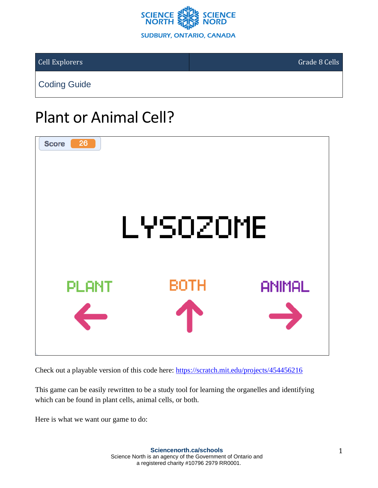

Cell Explorers Grade 8 Cells

Coding Guide

# Plant or Animal Cell?



Check out a playable version of this code here: <https://scratch.mit.edu/projects/454456216>

This game can be easily rewritten to be a study tool for learning the organelles and identifying which can be found in plant cells, animal cells, or both.

Here is what we want our game to do: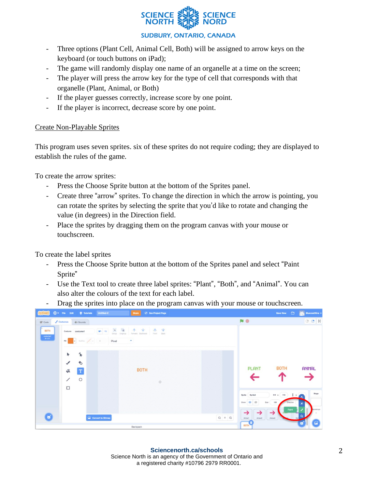

### **SUDBURY, ONTARIO, CANADA**

- Three options (Plant Cell, Animal Cell, Both) will be assigned to arrow keys on the keyboard (or touch buttons on iPad);
- The game will randomly display one name of an organelle at a time on the screen;
- The player will press the arrow key for the type of cell that corresponds with that organelle (Plant, Animal, or Both)
- If the player guesses correctly, increase score by one point.
- If the player is incorrect, decrease score by one point.

### Create Non-Playable Sprites

This program uses seven sprites. six of these sprites do not require coding; they are displayed to establish the rules of the game.

To create the arrow sprites:

- Press the Choose Sprite button at the bottom of the Sprites panel.
- Create three "arrow" sprites. To change the direction in which the arrow is pointing, you can rotate the sprites by selecting the sprite that you'd like to rotate and changing the value (in degrees) in the Direction field.
- Place the sprites by dragging them on the program canvas with your mouse or touchscreen.

To create the label sprites

- Press the Choose Sprite button at the bottom of the Sprites panel and select "Paint Sprite"
- Use the Text tool to create three label sprites: "Plant", "Both", and "Animal". You can also alter the colours of the text for each label.

- Drag the sprites into place on the program canvas with your mouse or touchscreen.

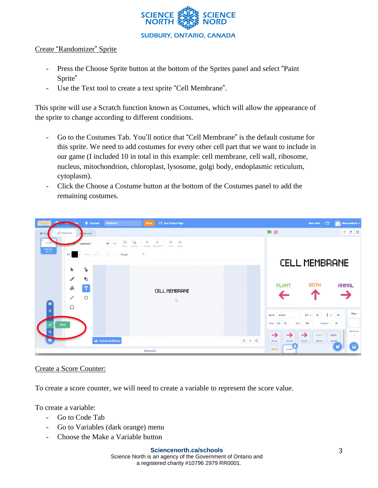

### Create "Randomizer" Sprite

- Press the Choose Sprite button at the bottom of the Sprites panel and select "Paint Sprite"
- Use the Text tool to create a text sprite "Cell Membrane".

This sprite will use a Scratch function known as Costumes, which will allow the appearance of the sprite to change according to different conditions.

- Go to the Costumes Tab. You'll notice that "Cell Membrane" is the default costume for this sprite. We need to add costumes for every other cell part that we want to include in our game (I included 10 in total in this example: cell membrane, cell wall, ribosome, nucleus, mitochondrion, chloroplast, lysosome, golgi body, endoplasmic reticulum, cytoplasm).
- Click the Choose a Costume button at the bottom of the Costumes panel to add the remaining costumes.



### Create a Score Counter:

To create a score counter, we will need to create a variable to represent the score value.

To create a variable:

- Go to Code Tab
- Go to Variables (dark orange) menu
- Choose the Make a Variable button

#### **Sciencenorth.ca/schools**

Science North is an agency of the Government of Ontario and a registered charity #10796 2979 RR0001.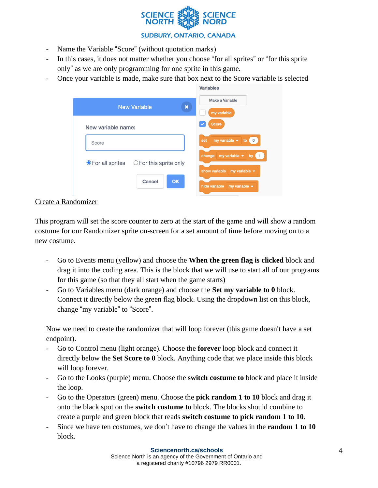

### **SUDBURY, ONTARIO, CANADA**

Variables

- Name the Variable "Score" (without quotation marks)
- In this cases, it does not matter whether you choose "for all sprites" or "for this sprite only" as we are only programming for one sprite in this game.
- Once your variable is made, make sure that box next to the Score variable is selected

|                                                      | ---------                                                                                  |
|------------------------------------------------------|--------------------------------------------------------------------------------------------|
| <b>New Variable</b><br>$\boldsymbol{\mathsf{x}}$     | Make a Variable<br>my variable                                                             |
| New variable name:                                   | <b>Score</b>                                                                               |
| Score                                                | my variable $\blacktriangleright$<br>set<br>$\overline{\mathbf{0}}$<br>to                  |
| ● For all sprites<br>$\bigcirc$ For this sprite only | my variable $\blacktriangledown$<br>change<br>bv<br>show variable<br>my variable $\bullet$ |
| <b>OK</b><br>Cancel                                  | hide variable<br>my variable $\blacktriangleright$                                         |

### Create a Randomizer

This program will set the score counter to zero at the start of the game and will show a random costume for our Randomizer sprite on-screen for a set amount of time before moving on to a new costume.

- Go to Events menu (yellow) and choose the **When the green flag is clicked** block and drag it into the coding area. This is the block that we will use to start all of our programs for this game (so that they all start when the game starts)
- Go to Variables menu (dark orange) and choose the **Set my variable to 0** block. Connect it directly below the green flag block. Using the dropdown list on this block, change "my variable" to "Score".

Now we need to create the randomizer that will loop forever (this game doesn't have a set endpoint).

- Go to Control menu (light orange). Choose the **forever** loop block and connect it directly below the **Set Score to 0** block. Anything code that we place inside this block will loop forever.
- Go to the Looks (purple) menu. Choose the **switch costume to** block and place it inside the loop.
- Go to the Operators (green) menu. Choose the **pick random 1 to 10** block and drag it onto the black spot on the **switch costume to** block. The blocks should combine to create a purple and green block that reads **switch costume to pick random 1 to 10**.
- Since we have ten costumes, we don't have to change the values in the **random 1 to 10** block.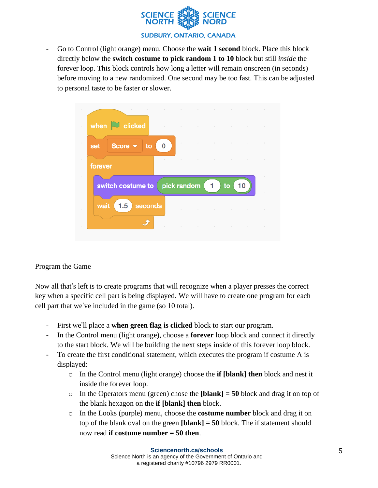

- Go to Control (light orange) menu. Choose the **wait 1 second** block. Place this block directly below the **switch costume to pick random 1 to 10** block but still *inside* the forever loop. This block controls how long a letter will remain onscreen (in seconds) before moving to a new randomized. One second may be too fast. This can be adjusted to personal taste to be faster or slower.



## Program the Game

Now all that's left is to create programs that will recognize when a player presses the correct key when a specific cell part is being displayed. We will have to create one program for each cell part that we've included in the game (so 10 total).

- First we'll place a **when green flag is clicked** block to start our program.
- In the Control menu (light orange), choose a **forever** loop block and connect it directly to the start block. We will be building the next steps inside of this forever loop block.
- To create the first conditional statement, which executes the program if costume A is displayed:
	- o In the Control menu (light orange) choose the **if [blank] then** block and nest it inside the forever loop.
	- $\circ$  In the Operators menu (green) chose the **[blank]** = 50 block and drag it on top of the blank hexagon on the **if [blank] then** block.
	- o In the Looks (purple) menu, choose the **costume number** block and drag it on top of the blank oval on the green **[blank] = 50** block. The if statement should now read **if costume number = 50 then**.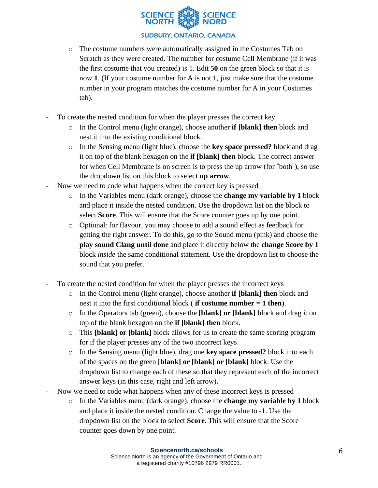

- o The costume numbers were automatically assigned in the Costumes Tab on Scratch as they were created. The number for costume Cell Membrane (if it was the first costume that you created) is 1. Edit **50** on the green block so that it is now **1**. (If your costume number for A is not 1, just make sure that the costume number in your program matches the costume number for A in your Costumes tab).
- To create the nested condition for when the player presses the correct key
	- o In the Control menu (light orange), choose another **if [blank] then** block and nest it into the existing conditional block.
	- o In the Sensing menu (light blue), choose the **key space pressed?** block and drag it on top of the blank hexagon on the **if [blank] then** block. The correct answer for when Cell Membrane is on screen is to press the up arrow (for "both"), so use the dropdown list on this block to select **up arrow**.
- Now we need to code what happens when the correct key is pressed
	- o In the Variables menu (dark orange), choose the **change my variable by 1** block and place it inside the nested condition. Use the dropdown list on the block to select **Score**. This will ensure that the Score counter goes up by one point.
	- o Optional: for flavour, you may choose to add a sound effect as feedback for getting the right answer. To do this, go to the Sound menu (pink) and choose the **play sound Clang until done** and place it directly below the **change Score by 1** block *inside* the same conditional statement. Use the dropdown list to choose the sound that you prefer.
- To create the nested condition for when the player presses the incorrect keys
	- o In the Control menu (light orange), choose another **if [blank] then** block and nest it into the first conditional block ( **if costume number = 1 then**).
	- o In the Operators tab (green), choose the **[blank] or [blank]** block and drag it on top of the blank hexagon on the **if [blank] then** block.
	- o This **[blank] or [blank]** block allows for us to create the same scoring program for if the player presses any of the two incorrect keys.
	- o In the Sensing menu (light blue), drag one **key space pressed?** block into each of the spaces on the green **[blank] or [blank] or [blank]** block. Use the dropdown list to change each of these so that they represent each of the incorrect answer keys (in this case, right and left arrow).
- Now we need to code what happens when any of these incorrect keys is pressed
	- o In the Variables menu (dark orange), choose the **change my variable by 1** block and place it inside the nested condition. Change the value to -1. Use the dropdown list on the block to select **Score**. This will ensure that the Score counter goes down by one point.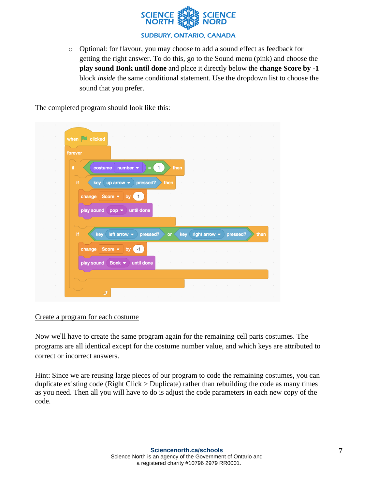

o Optional: for flavour, you may choose to add a sound effect as feedback for getting the right answer. To do this, go to the Sound menu (pink) and choose the **play sound Bonk until done** and place it directly below the **change Score by -1** block *inside* the same conditional statement. Use the dropdown list to choose the sound that you prefer.

The completed program should look like this:

| $\sim$ 100 $\mu$                               |                                                                                                                              |
|------------------------------------------------|------------------------------------------------------------------------------------------------------------------------------|
|                                                | <b>Contractor</b><br>the contract of the contract of the<br><b>Contract Contract</b><br>and the state<br>when $\Box$ clicked |
| $\sim$                                         | forever                                                                                                                      |
| $\sim$ 100 $\mu$<br>$\sim$<br>$\sim$ $-$       | costume number $\bullet$<br>Ħ.<br>$\mathbf{1}$<br>then<br>$\equiv$                                                           |
| $\sim$                                         | up arrow $\bullet$ pressed?<br>if.<br>key (<br>then                                                                          |
| $\sim$ 100 $\mu$                               | change Score v by 1                                                                                                          |
| $\sim$                                         | play sound $pop \rightarrow$ until done                                                                                      |
| $\sim$ 100 $\mu$                               |                                                                                                                              |
| $\sim$ 100 $\mu$<br>$\sim$ 100 $\mu$<br>$\sim$ | key left arrow • pressed?<br>if.<br>or key right arrow $\bullet$ pressed?<br>then                                            |
| $\sim$ $\sim$                                  | change Score $\bullet$ by $\bullet$  <br>$\sim$                                                                              |
| $\sim$ $\sim$                                  | play sound Bonk • until done<br>$\sim$ 100 $\mu$<br>$\sim$                                                                   |
| $\sim$                                         |                                                                                                                              |
|                                                |                                                                                                                              |

Create a program for each costume

Now we'll have to create the same program again for the remaining cell parts costumes. The programs are all identical except for the costume number value, and which keys are attributed to correct or incorrect answers.

Hint: Since we are reusing large pieces of our program to code the remaining costumes, you can duplicate existing code (Right Click > Duplicate) rather than rebuilding the code as many times as you need. Then all you will have to do is adjust the code parameters in each new copy of the code.